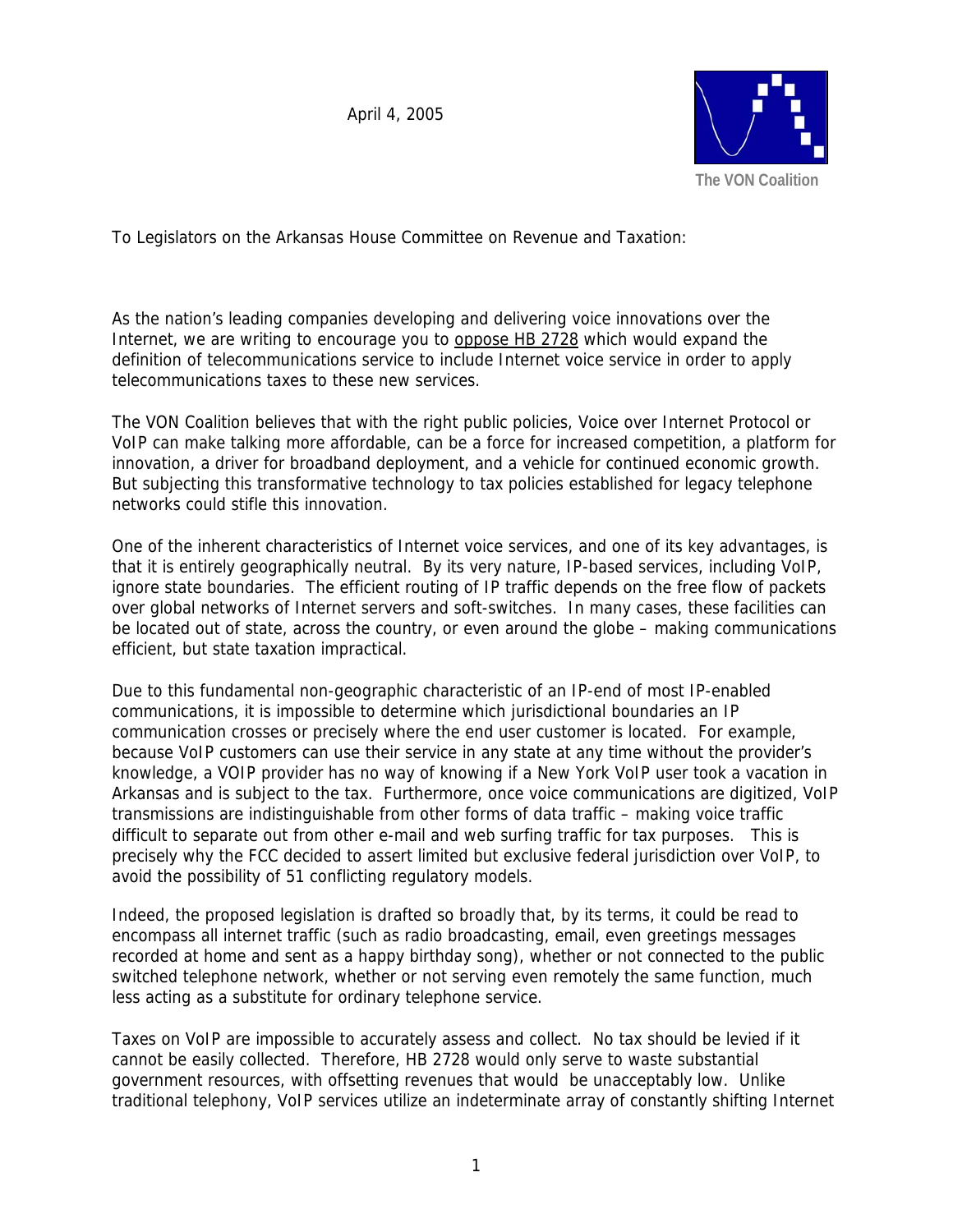April 4, 2005



To Legislators on the Arkansas House Committee on Revenue and Taxation:

As the nation's leading companies developing and delivering voice innovations over the Internet, we are writing to encourage you to oppose HB 2728 which would expand the definition of telecommunications service to include Internet voice service in order to apply telecommunications taxes to these new services.

The VON Coalition believes that with the right public policies, Voice over Internet Protocol or VoIP can make talking more affordable, can be a force for increased competition, a platform for innovation, a driver for broadband deployment, and a vehicle for continued economic growth. But subjecting this transformative technology to tax policies established for legacy telephone networks could stifle this innovation.

One of the inherent characteristics of Internet voice services, and one of its key advantages, is that it is entirely geographically neutral. By its very nature, IP-based services, including VoIP, ignore state boundaries. The efficient routing of IP traffic depends on the free flow of packets over global networks of Internet servers and soft-switches. In many cases, these facilities can be located out of state, across the country, or even around the globe – making communications efficient, but state taxation impractical.

Due to this fundamental non-geographic characteristic of an IP-end of most IP-enabled communications, it is impossible to determine which jurisdictional boundaries an IP communication crosses or precisely where the end user customer is located. For example, because VoIP customers can use their service in any state at any time without the provider's knowledge, a VOIP provider has no way of knowing if a New York VoIP user took a vacation in Arkansas and is subject to the tax. Furthermore, once voice communications are digitized, VoIP transmissions are indistinguishable from other forms of data traffic – making voice traffic difficult to separate out from other e-mail and web surfing traffic for tax purposes. This is precisely why the FCC decided to assert limited but exclusive federal jurisdiction over VoIP, to avoid the possibility of 51 conflicting regulatory models.

Indeed, the proposed legislation is drafted so broadly that, by its terms, it could be read to encompass all internet traffic (such as radio broadcasting, email, even greetings messages recorded at home and sent as a happy birthday song), whether or not connected to the public switched telephone network, whether or not serving even remotely the same function, much less acting as a substitute for ordinary telephone service.

Taxes on VoIP are impossible to accurately assess and collect. No tax should be levied if it cannot be easily collected. Therefore, HB 2728 would only serve to waste substantial government resources, with offsetting revenues that would be unacceptably low. Unlike traditional telephony, VoIP services utilize an indeterminate array of constantly shifting Internet